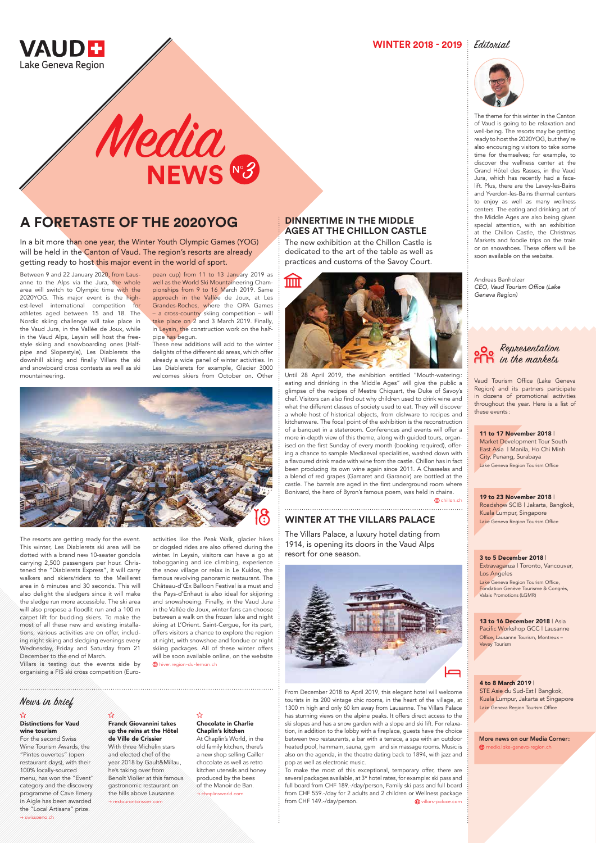### **DINNERTIME IN THE MIDDLE AGES AT THE CHILLON CASTLE**

The new exhibition at the Chillon Castle is dedicated to the art of the table as well as practices and customs of the Savoy Court.



In a bit more than one year, the Winter Youth Olympic Games (YOG) will be held in the Canton of Vaud. The region's resorts are already getting ready to host this major event in the world of sport.

Media<br>NEWS 83

Until 28 April 2019, the exhibition entitled "Mouth-watering: eating and drinking in the Middle Ages" will give the public a glimpse of the recipes of Mestre Chiquart, the Duke of Savoy's chef. Visitors can also find out why children used to drink wine and what the different classes of society used to eat. They will discover a whole host of historical objects, from dishware to recipes and kitchenware. The focal point of the exhibition is the reconstruction of a banquet in a stateroom. Conferences and events will offer a more in-depth view of this theme, along with guided tours, organised on the first Sunday of every month (booking required), offering a chance to sample Mediaeval specialities, washed down with a flavoured drink made with wine from the castle. Chillon has in fact been producing its own wine again since 2011. A Chasselas and a blend of red grapes (Gamaret and Garanoir) are bottled at the castle. The barrels are aged in the first underground room where Bonivard, the hero of Byron's famous poem, was held in chains.

# **A FORETASTE OF THE 2020YOG**

Between 9 and 22 January 2020, from Lausanne to the Alps via the Jura, the whole area will switch to Olympic time with the 2020YOG. This major event is the highest-level international competition for athletes aged between 15 and 18. The Nordic skiing challenge will take place in the Vaud Jura, in the Vallée de Joux, while in the Vaud Alps, Leysin will host the freestyle skiing and snowboarding ones (Halfpipe and Slopestyle), Les Diablerets the downhill skiing and finally Villars the ski and snowboard cross contests as well as ski mountaineering.

The resorts are getting ready for the event. This winter, Les Diablerets ski area will be dotted with a brand new 10-seater gondola carrying 2,500 passengers per hour. Christened the "Diablerets Express", it will carry walkers and skiers/riders to the Meilleret area in 6 minutes and 30 seconds. This will also delight the sledgers since it will make the sledge run more accessible. The ski area will also propose a floodlit run and a 100 m carpet lift for budding skiers. To make the most of all these new and existing installations, various activities are on offer, including night skiing and sledging evenings every Wednesday, Friday and Saturday from 21 December to the end of March. Villars is testing out the events side by organising a FIS ski cross competition (Euro-

> To make the most of this exceptional, temporary offer, there are several packages available, at 3\* hotel rates, for example: ski pass and full board from CHF 189.-/day/person, Family ski pass and full board from CHF 559.-/day for 2 adults and 2 children or Wellness package from CHF 149.-/day/person.  $\bigoplus$  villars-palace.com

pean cup) from 11 to 13 January 2019 as well as the World Ski Mountaineering Championships from 9 to 16 March 2019. Same approach in the Vallée de Joux, at Les Grandes-Roches, where the OPA Games – a cross-country skiing competition – will take place on 2 and 3 March 2019. Finally, in Leysin, the construction work on the halfpipe has begun.

These new additions will add to the winter delights of the different ski areas, which offer already a wide panel of winter activities. In Les Diablerets for example, Glacier 3000 welcomes skiers from October on. Other



Extravaganza | Toronto, Vancouver, Los Angeles Lake Geneva Region Tourism Office, Fondation Genève Tourisme & Congrès, Valais Promotions (LGMR)

#### 13 to 16 December 2018 | Asia

activities like the Peak Walk, glacier hikes or dogsled rides are also offered during the winter. In Leysin, visitors can have a go at tobogganing and ice climbing, experience the snow village or relax in Le Kuklos, the famous revolving panoramic restaurant. The Château-d'Œx Balloon Festival is a must and the Pays-d'Enhaut is also ideal for skijoring and snowshoeing. Finally, in the Vaud Jura in the Vallée de Joux, winter fans can choose between a walk on the frozen lake and night skiing at L'Orient. Saint-Cergue, for its part, offers visitors a chance to explore the region

> STE Asie du Sud-Est | Bangkok, Kuala Lumpur, Jakarta et Singapore Lake Geneva Region Tourism Office

More news on our Media Corner: **ED** media.lake-geneva-region.ch

at night, with snowshoe and fondue or night skiing packages. All of these winter offers will be soon available online, on the website

hiver.region-du-leman.ch

#### **WINTER 2018 - 2019** *Editorial*





The theme for this winter in the Canton of Vaud is going to be relaxation and well-being. The resorts may be getting ready to host the 2020YOG, but they're also encouraging visitors to take some time for themselves; for example, to discover the wellness center at the Grand Hôtel des Rasses, in the Vaud Jura, which has recently had a facelift. Plus, there are the Lavey-les-Bains and Yverdon-les-Bains thermal centers to enjoy as well as many wellness centers. The eating and drinking art of the Middle Ages are also being given special attention, with an exhibition at the Chillon Castle, the Christmas Markets and foodie trips on the train or on snowshoes. These offers will be soon available on the website.

Andreas Banholzer CEO, Vaud Tourism Office (Lake Geneva Region)

### **WINTER AT THE VILLARS PALACE**

The Villars Palace, a luxury hotel dating from 1914, is opening its doors in the Vaud Alps resort for one season.



From December 2018 to April 2019, this elegant hotel will welcome tourists in its 200 vintage chic rooms, in the heart of the village, at 1300 m high and only 60 km away from Lausanne. The Villars Palace has stunning views on the alpine peaks. It offers direct access to the ski slopes and has a snow garden with a slope and ski lift. For relaxation, in addition to the lobby with a fireplace, guests have the choice between two restaurants, a bar with a terrace, a spa with an outdoor heated pool, hammam, sauna, gym and six massage rooms. Music is also on the agenda, in the theatre dating back to 1894, with jazz and pop as well as electronic music.

#### Distinctions for Vaud wine tourism

For the second Swiss Wine Tourism Awards, the "Pintes ouvertes" (open restaurant days), with their 100% locally-sourced menu, has won the "Event" category and the discovery programme of Cave Emery in Aigle has been awarded the "Local Artisans" prize. → swissoeno.ch

#### $\bigstar$

Franck Giovannini takes up the reins at the Hôtel de Ville de Crissier With three Michelin stars and elected chef of the year 2018 by Gault&Millau, he's taking over from Benoît Violier at this famous gastronomic restaurant on the hills above Lausanne. → restaurantcrissier.com

#### ☆

Chocolate in Charlie Chaplin's kitchen

At Chaplin's World, in the old family kitchen, there's a new shop selling Cailler chocolate as well as retro kitchen utensils and honey produced by the bees of the Manoir de Ban. → chaplinsworld.com

#### 11 to 17 November 2018 |

Market Development Tour South East Asia | Manila, Ho Chi Minh City, Penang, Surabaya Lake Geneva Region Tourism Office

#### 3 to 5 December 2018 |

#### 19 to 23 November 2018 |

**chillon** ch

Roadshow SCIB | Jakarta, Bangkok, Kuala Lumpur, Singapore Lake Geneva Region Tourism Office

Pacific Workshop GCC | Lausanne

Office, Lausanne Tourism, Montreux – Vevey Tourism

#### 4 to 8 March 2019 |

### News in brief

### Representation in the markets

Vaud Tourism Office (Lake Geneva Region) and its partners participate in dozens of promotional activities throughout the year. Here is a list of these events :